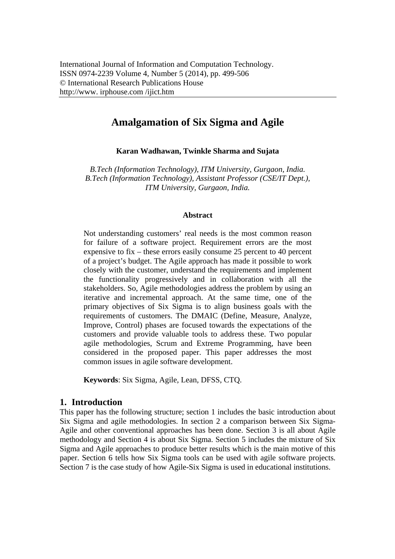# **Amalgamation of Six Sigma and Agile**

**Karan Wadhawan, Twinkle Sharma and Sujata** 

*B.Tech (Information Technology), ITM University, Gurgaon, India. B.Tech (Information Technology), Assistant Professor (CSE/IT Dept.), ITM University, Gurgaon, India.* 

#### **Abstract**

Not understanding customers' real needs is the most common reason for failure of a software project. Requirement errors are the most expensive to fix – these errors easily consume 25 percent to 40 percent of a project's budget. The Agile approach has made it possible to work closely with the customer, understand the requirements and implement the functionality progressively and in collaboration with all the stakeholders. So, Agile methodologies address the problem by using an iterative and incremental approach. At the same time, one of the primary objectives of Six Sigma is to align business goals with the requirements of customers. The DMAIC (Define, Measure, Analyze, Improve, Control) phases are focused towards the expectations of the customers and provide valuable tools to address these. Two popular agile methodologies, Scrum and Extreme Programming, have been considered in the proposed paper. This paper addresses the most common issues in agile software development.

**Keywords**: Six Sigma, Agile, Lean, DFSS, CTQ.

## **1. Introduction**

This paper has the following structure; section 1 includes the basic introduction about Six Sigma and agile methodologies. In section 2 a comparison between Six Sigma-Agile and other conventional approaches has been done. Section 3 is all about Agile methodology and Section 4 is about Six Sigma. Section 5 includes the mixture of Six Sigma and Agile approaches to produce better results which is the main motive of this paper. Section 6 tells how Six Sigma tools can be used with agile software projects. Section 7 is the case study of how Agile-Six Sigma is used in educational institutions.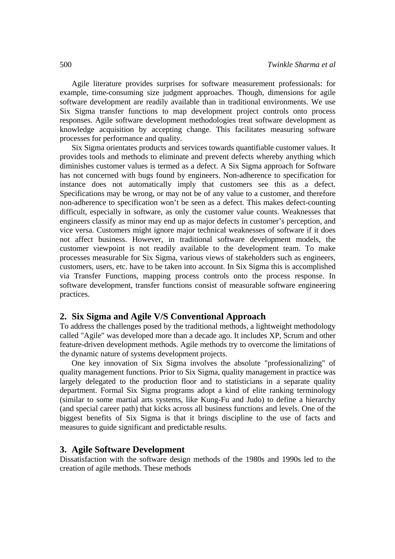Agile literature provides surprises for software measurement professionals: for example, time-consuming size judgment approaches. Though, dimensions for agile software development are readily available than in traditional environments. We use Six Sigma transfer functions to map development project controls onto process responses. Agile software development methodologies treat software development as knowledge acquisition by accepting change. This facilitates measuring software processes for performance and quality.

Six Sigma orientates products and services towards quantifiable customer values. It provides tools and methods to eliminate and prevent defects whereby anything which diminishes customer values is termed as a defect. A Six Sigma approach for Software has not concerned with bugs found by engineers. Non-adherence to specification for instance does not automatically imply that customers see this as a defect. Specifications may be wrong, or may not be of any value to a customer, and therefore non-adherence to specification won't be seen as a defect. This makes defect-counting difficult, especially in software, as only the customer value counts. Weaknesses that engineers classify as minor may end up as major defects in customer's perception, and vice versa. Customers might ignore major technical weaknesses of software if it does not affect business. However, in traditional software development models, the customer viewpoint is not readily available to the development team. To make processes measurable for Six Sigma, various views of stakeholders such as engineers, customers, users, etc. have to be taken into account. In Six Sigma this is accomplished via Transfer Functions, mapping process controls onto the process response. In software development, transfer functions consist of measurable software engineering practices.

#### **2. Six Sigma and Agile V/S Conventional Approach**

To address the challenges posed by the traditional methods, a lightweight methodology called "Agile" was developed more than a decade ago. It includes XP, Scrum and other feature-driven development methods. Agile methods try to overcome the limitations of the dynamic nature of systems development projects.

One key innovation of Six Sigma involves the absolute "professionalizing" of quality management functions. Prior to Six Sigma, quality management in practice was largely delegated to the production floor and to statisticians in a separate quality department. Formal Six Sigma programs adopt a kind of elite ranking terminology (similar to some martial arts systems, like Kung-Fu and Judo) to define a hierarchy (and special career path) that kicks across all business functions and levels. One of the biggest benefits of Six Sigma is that it brings discipline to the use of facts and measures to guide significant and predictable results.

#### **3. Agile Software Development**

Dissatisfaction with the software design methods of the 1980s and 1990s led to the creation of agile methods. These methods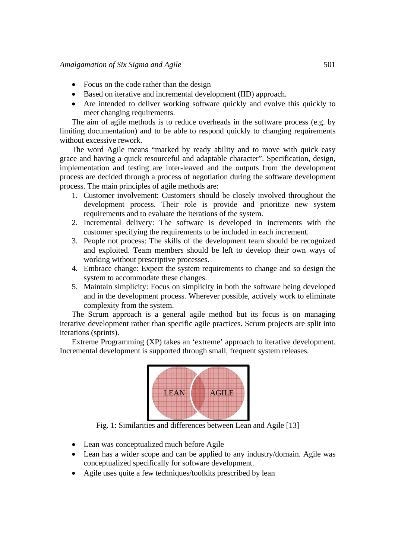- $\bullet$  Focus on the code rather than the design
- Based on iterative and incremental development (IID) approach.
- Are intended to deliver working software quickly and evolve this quickly to meet changing requirements.

The aim of agile methods is to reduce overheads in the software process (e.g. by limiting documentation) and to be able to respond quickly to changing requirements without excessive rework.

The word Agile means "marked by ready ability and to move with quick easy grace and having a quick resourceful and adaptable character". Specification, design, implementation and testing are inter-leaved and the outputs from the development process are decided through a process of negotiation during the software development process. The main principles of agile methods are:

- 1. Customer involvement: Customers should be closely involved throughout the development process. Their role is provide and prioritize new system requirements and to evaluate the iterations of the system.
- 2. Incremental delivery: The software is developed in increments with the customer specifying the requirements to be included in each increment.
- 3. People not process: The skills of the development team should be recognized and exploited. Team members should be left to develop their own ways of working without prescriptive processes.
- 4. Embrace change: Expect the system requirements to change and so design the system to accommodate these changes.
- 5. Maintain simplicity: Focus on simplicity in both the software being developed and in the development process. Wherever possible, actively work to eliminate complexity from the system.

The Scrum approach is a general agile method but its focus is on managing iterative development rather than specific agile practices. Scrum projects are split into iterations (sprints).

Extreme Programming (XP) takes an 'extreme' approach to iterative development. Incremental development is supported through small, frequent system releases.



Fig. 1: Similarities and differences between Lean and Agile [13]

- Lean was conceptualized much before Agile
- Lean has a wider scope and can be applied to any industry/domain. Agile was conceptualized specifically for software development.
- Agile uses quite a few techniques/toolkits prescribed by lean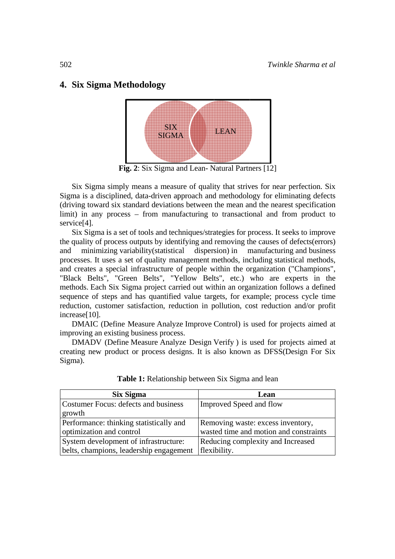# 4. Six Sigma Methodology



Fig. 2: Six Sigma and Lean- Natural Partners [12]

Six Sigma simply means a measure of quality that strives for near perfection. Six Sigma is a disciplined, data-driven approach and methodology for eliminating defects (driving toward six standard deviations between the mean and the nearest specification limit) in any process – from manufacturing to transactional and from product to service<sup>[4]</sup>.

Six Sigma is a set of tools and techniques/strategies for process. It seeks to improve the quality of process outputs by identifying and removing the causes of defects (errors) minimizing variability (statistical dispersion) in manufacturing and business and processes. It uses a set of quality management methods, including statistical methods, and creates a special infrastructure of people within the organization ("Champions", "Black Belts", "Green Belts", "Yellow Belts", etc.) who are experts in the methods. Each Six Sigma project carried out within an organization follows a defined sequence of steps and has quantified value targets, for example; process cycle time reduction, customer satisfaction, reduction in pollution, cost reduction and/or profit increase $[10]$ .

DMAIC (Define Measure Analyze Improve Control) is used for projects aimed at improving an existing business process.

DMADV (Define Measure Analyze Design Verify) is used for projects aimed at creating new product or process designs. It is also known as DFSS(Design For Six Sigma).

| Six Sigma                               | Lean                                   |
|-----------------------------------------|----------------------------------------|
| Costumer Focus: defects and business    | Improved Speed and flow                |
| growth                                  |                                        |
| Performance: thinking statistically and | Removing waste: excess inventory,      |
| optimization and control                | wasted time and motion and constraints |
| System development of infrastructure:   | Reducing complexity and Increased      |
| belts, champions, leadership engagement | flexibility.                           |

Table 1: Relationship between Six Sigma and lean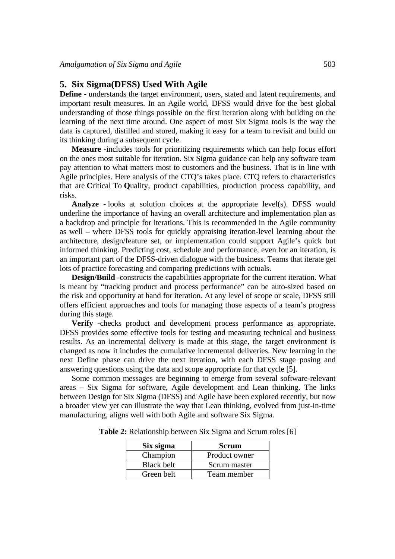#### **5. Six Sigma(DFSS) Used With Agile**

**Define -** understands the target environment, users, stated and latent requirements, and important result measures. In an Agile world, DFSS would drive for the best global understanding of those things possible on the first iteration along with building on the learning of the next time around. One aspect of most Six Sigma tools is the way the data is captured, distilled and stored, making it easy for a team to revisit and build on its thinking during a subsequent cycle.

**Measure -**includes tools for prioritizing requirements which can help focus effort on the ones most suitable for iteration. Six Sigma guidance can help any software team pay attention to what matters most to customers and the business. That is in line with Agile principles. Here analysis of the CTQ's takes place. CTQ refers to characteristics that are **C**ritical **T**o **Q**uality, product capabilities, production process capability, and risks.

**Analyze -** looks at solution choices at the appropriate level(s). DFSS would underline the importance of having an overall architecture and implementation plan as a backdrop and principle for iterations. This is recommended in the Agile community as well – where DFSS tools for quickly appraising iteration-level learning about the architecture, design/feature set, or implementation could support Agile's quick but informed thinking. Predicting cost, schedule and performance, even for an iteration, is an important part of the DFSS-driven dialogue with the business. Teams that iterate get lots of practice forecasting and comparing predictions with actuals.

**Design/Build -**constructs the capabilities appropriate for the current iteration. What is meant by "tracking product and process performance" can be auto-sized based on the risk and opportunity at hand for iteration. At any level of scope or scale, DFSS still offers efficient approaches and tools for managing those aspects of a team's progress during this stage.

**Verify -**checks product and development process performance as appropriate. DFSS provides some effective tools for testing and measuring technical and business results. As an incremental delivery is made at this stage, the target environment is changed as now it includes the cumulative incremental deliveries. New learning in the next Define phase can drive the next iteration, with each DFSS stage posing and answering questions using the data and scope appropriate for that cycle [5].

Some common messages are beginning to emerge from several software-relevant areas – Six Sigma for software, Agile development and Lean thinking. The links between Design for Six Sigma (DFSS) and Agile have been explored recently, but now a broader view yet can illustrate the way that Lean thinking, evolved from just-in-time manufacturing, aligns well with both Agile and software Six Sigma.

| Six sigma         | <b>Scrum</b>  |
|-------------------|---------------|
| Champion          | Product owner |
| <b>Black belt</b> | Scrum master  |
| Green belt        | Team member   |

**Table 2:** Relationship between Six Sigma and Scrum roles [6]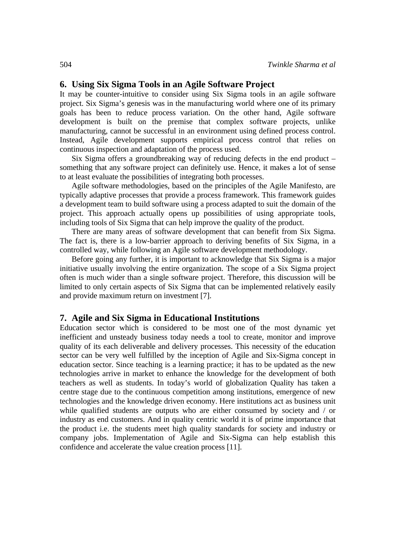### **6. Using Six Sigma Tools in an Agile Software Project**

It may be counter-intuitive to consider using Six Sigma tools in an agile software project. Six Sigma's genesis was in the manufacturing world where one of its primary goals has been to reduce process variation. On the other hand, Agile software development is built on the premise that complex software projects, unlike manufacturing, cannot be successful in an environment using defined process control. Instead, Agile development supports empirical process control that relies on continuous inspection and adaptation of the process used.

Six Sigma offers a groundbreaking way of reducing defects in the end product – something that any software project can definitely use. Hence, it makes a lot of sense to at least evaluate the possibilities of integrating both processes.

Agile software methodologies, based on the principles of the Agile Manifesto, are typically adaptive processes that provide a process framework. This framework guides a development team to build software using a process adapted to suit the domain of the project. This approach actually opens up possibilities of using appropriate tools, including tools of Six Sigma that can help improve the quality of the product.

There are many areas of software development that can benefit from Six Sigma. The fact is, there is a low-barrier approach to deriving benefits of Six Sigma, in a controlled way, while following an Agile software development methodology.

Before going any further, it is important to acknowledge that Six Sigma is a major initiative usually involving the entire organization. The scope of a Six Sigma project often is much wider than a single software project. Therefore, this discussion will be limited to only certain aspects of Six Sigma that can be implemented relatively easily and provide maximum return on investment [7].

#### **7. Agile and Six Sigma in Educational Institutions**

Education sector which is considered to be most one of the most dynamic yet inefficient and unsteady business today needs a tool to create, monitor and improve quality of its each deliverable and delivery processes. This necessity of the education sector can be very well fulfilled by the inception of Agile and Six-Sigma concept in education sector. Since teaching is a learning practice; it has to be updated as the new technologies arrive in market to enhance the knowledge for the development of both teachers as well as students. In today's world of globalization Quality has taken a centre stage due to the continuous competition among institutions, emergence of new technologies and the knowledge driven economy. Here institutions act as business unit while qualified students are outputs who are either consumed by society and / or industry as end customers. And in quality centric world it is of prime importance that the product i.e. the students meet high quality standards for society and industry or company jobs. Implementation of Agile and Six-Sigma can help establish this confidence and accelerate the value creation process [11].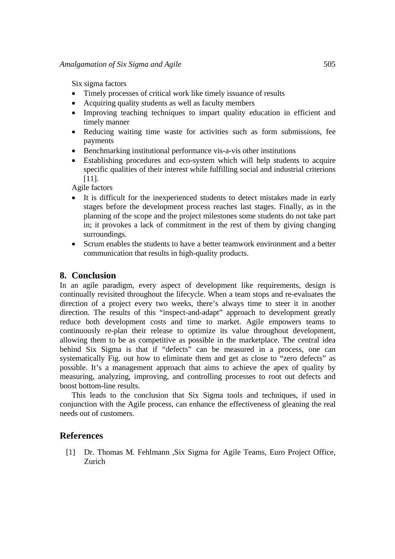Six sigma factors

- Timely processes of critical work like timely issuance of results
- Acquiring quality students as well as faculty members
- Improving teaching techniques to impart quality education in efficient and timely manner
- Reducing waiting time waste for activities such as form submissions, fee payments
- Benchmarking institutional performance vis-a-vis other institutions
- Establishing procedures and eco-system which will help students to acquire specific qualities of their interest while fulfilling social and industrial criterions [11].

Agile factors

- It is difficult for the inexperienced students to detect mistakes made in early stages before the development process reaches last stages. Finally, as in the planning of the scope and the project milestones some students do not take part in; it provokes a lack of commitment in the rest of them by giving changing surroundings.
- Scrum enables the students to have a better teamwork environment and a better communication that results in high-quality products.

# **8. Conclusion**

In an agile paradigm, every aspect of development like requirements, design is continually revisited throughout the lifecycle. When a team stops and re-evaluates the direction of a project every two weeks, there's always time to steer it in another direction. The results of this "inspect-and-adapt" approach to development greatly reduce both development costs and time to market. Agile empowers teams to continuously re-plan their release to optimize its value throughout development, allowing them to be as competitive as possible in the marketplace. The central idea behind Six Sigma is that if "defects" can be measured in a process, one can systematically Fig. out how to eliminate them and get as close to "zero defects" as possible. It's a management approach that aims to achieve the apex of quality by measuring, analyzing, improving, and controlling processes to root out defects and boost bottom-line results.

This leads to the conclusion that Six Sigma tools and techniques, if used in conjunction with the Agile process, can enhance the effectiveness of gleaning the real needs out of customers.

## **References**

[1] Dr. Thomas M*.* Fehlmann *,*Six Sigma for Agile Teams, Euro Project Office, Zurich